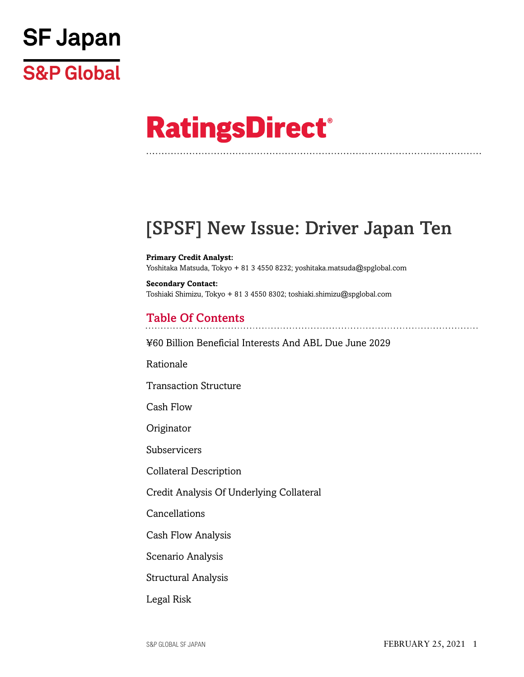

# **RatingsDirect®**

# [SPSF] New Issue: Driver Japan Ten

**Primary Credit Analyst:** Yoshitaka Matsuda, Tokyo + 81 3 4550 8232; yoshitaka.matsuda@spglobal.com

**Secondary Contact:** Toshiaki Shimizu, Tokyo + 81 3 4550 8302; toshiaki.shimizu@spglobal.com

# Table Of Contents

[¥60 Billion Beneficial Interests And ABL Due June 2029](#page-2-0)

[Rationale](#page-3-0)

[Transaction Structure](#page-4-0)

[Cash Flow](#page-5-0)

[Originator](#page-7-0)

[Subservicers](#page-7-1)

[Collateral Description](#page-7-2)

[Credit Analysis Of Underlying Collateral](#page-13-0)

[Cancellations](#page-16-0)

[Cash Flow Analysis](#page-16-1)

[Scenario Analysis](#page-17-0)

[Structural Analysis](#page-18-0)

[Legal Risk](#page-18-1)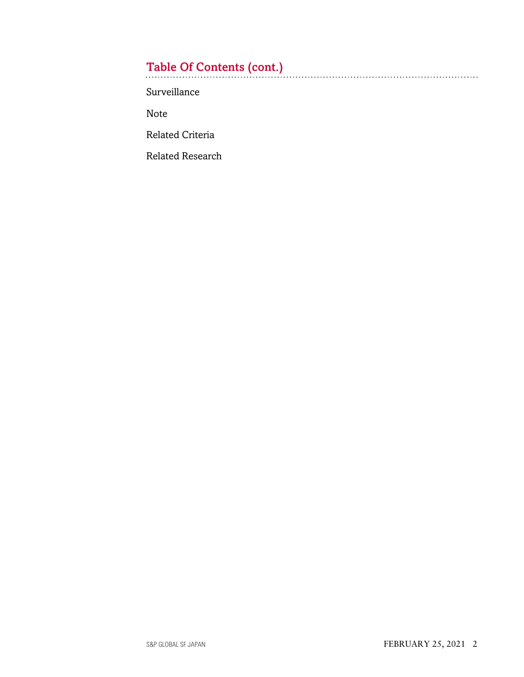# Table Of Contents (cont.)

[Surveillance](#page-19-0)

[Note](#page-20-0)

[Related Criteria](#page-20-1)

[Related Research](#page-20-2)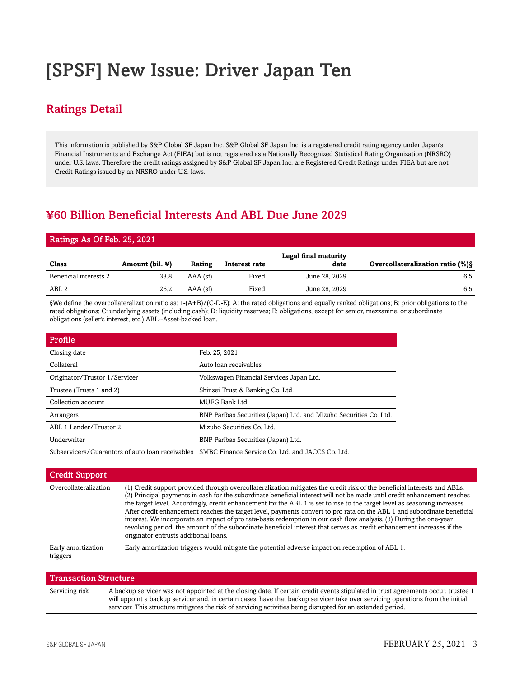# [SPSF] New Issue: Driver Japan Ten

# Ratings Detail

This information is published by S&P Global SF Japan Inc. S&P Global SF Japan Inc. is a registered credit rating agency under Japan's Financial Instruments and Exchange Act (FIEA) but is not registered as a Nationally Recognized Statistical Rating Organization (NRSRO) under U.S. laws. Therefore the credit ratings assigned by S&P Global SF Japan Inc. are Registered Credit Ratings under FIEA but are not Credit Ratings issued by an NRSRO under U.S. laws.

# <span id="page-2-0"></span>¥60 Billion Beneficial Interests And ABL Due June 2029

#### Ratings As Of Feb. 25, 2021

| Class                  | Amount (bil. $\mathbf{\Psi}$ ) | Rating     | Interest rate | Legal final maturity<br>date | <b>Overcollateralization ratio (%) \$</b> |
|------------------------|--------------------------------|------------|---------------|------------------------------|-------------------------------------------|
| Beneficial interests 2 | 33.8                           | AAA (sf)   | Fixed         | June 28, 2029                | 6.5                                       |
| ABL 2                  | 26.2                           | $AAA$ (sf) | Fixed         | June 28, 2029                | 6.5                                       |

§We define the overcollateralization ratio as: 1-(A+B)/(C-D-E); A: the rated obligations and equally ranked obligations; B: prior obligations to the rated obligations; C: underlying assets (including cash); D: liquidity reserves; E: obligations, except for senior, mezzanine, or subordinate obligations (seller's interest, etc.) ABL--Asset-backed loan.

| Profile                                          |                                                                    |
|--------------------------------------------------|--------------------------------------------------------------------|
| Closing date                                     | Feb. 25, 2021                                                      |
| Collateral                                       | Auto loan receivables                                              |
| Originator/Trustor 1/Servicer                    | Volkswagen Financial Services Japan Ltd.                           |
| Trustee (Trusts 1 and 2)                         | Shinsei Trust & Banking Co. Ltd.                                   |
| Collection account                               | MUFG Bank Ltd.                                                     |
| Arrangers                                        | BNP Paribas Securities (Japan) Ltd. and Mizuho Securities Co. Ltd. |
| ABL 1 Lender/Trustor 2                           | Mizuho Securities Co. Ltd.                                         |
| Underwriter                                      | BNP Paribas Securities (Japan) Ltd.                                |
| Subservicers/Guarantors of auto loan receivables | SMBC Finance Service Co. Ltd. and JACCS Co. Ltd.                   |

#### Credit Support

| (1) Credit support provided through overcollateralization mitigates the credit risk of the beneficial interests and ABLs.<br>(2) Principal payments in cash for the subordinate beneficial interest will not be made until credit enhancement reaches<br>the target level. Accordingly, credit enhancement for the ABL 1 is set to rise to the target level as seasoning increases.                              |
|------------------------------------------------------------------------------------------------------------------------------------------------------------------------------------------------------------------------------------------------------------------------------------------------------------------------------------------------------------------------------------------------------------------|
| After credit enhancement reaches the target level, payments convert to pro rata on the ABL 1 and subordinate beneficial<br>interest. We incorporate an impact of pro rata-basis redemption in our cash flow analysis. (3) During the one-year<br>revolving period, the amount of the subordinate beneficial interest that serves as credit enhancement increases if the<br>originator entrusts additional loans. |
| Early amortization triggers would mitigate the potential adverse impact on redemption of ABL 1.                                                                                                                                                                                                                                                                                                                  |
|                                                                                                                                                                                                                                                                                                                                                                                                                  |

| <b>Transaction Structure</b> |                                                                                                                                                                                                                                                                                                                                                                                     |  |  |  |
|------------------------------|-------------------------------------------------------------------------------------------------------------------------------------------------------------------------------------------------------------------------------------------------------------------------------------------------------------------------------------------------------------------------------------|--|--|--|
| Servicing risk               | A backup servicer was not appointed at the closing date. If certain credit events stipulated in trust agreements occur, trustee 1<br>will appoint a backup servicer and, in certain cases, have that backup servicer take over servicing operations from the initial<br>servicer. This structure mitigates the risk of servicing activities being disrupted for an extended period. |  |  |  |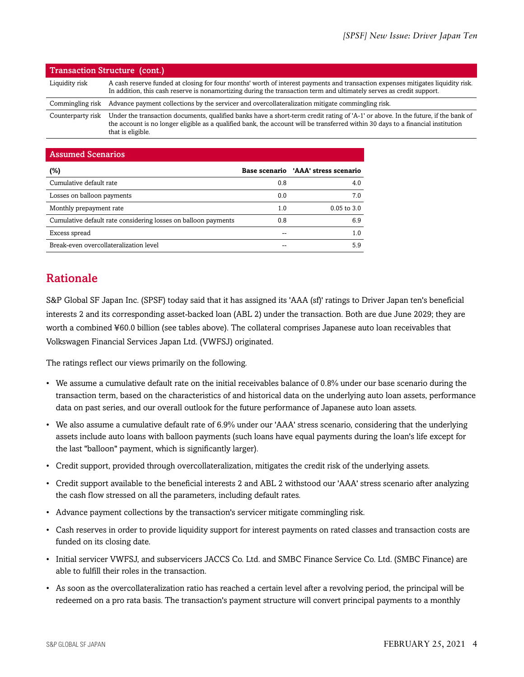|                   | <b>Transaction Structure (cont.)</b>                                                                                                                                                                                                                                                       |
|-------------------|--------------------------------------------------------------------------------------------------------------------------------------------------------------------------------------------------------------------------------------------------------------------------------------------|
| Liquidity risk    | A cash reserve funded at closing for four months' worth of interest payments and transaction expenses mitigates liquidity risk.<br>In addition, this cash reserve is nonamortizing during the transaction term and ultimately serves as credit support.                                    |
| Commingling risk  | Advance payment collections by the servicer and overcollateralization mitigate commingling risk.                                                                                                                                                                                           |
| Counterparty risk | Under the transaction documents, qualified banks have a short-term credit rating of 'A-1' or above. In the future, if the bank of<br>the account is no longer eligible as a qualified bank, the account will be transferred within 30 days to a financial institution<br>that is eligible. |

| <b>Assumed Scenarios</b>                                       |     |                                     |
|----------------------------------------------------------------|-----|-------------------------------------|
| (%)                                                            |     | Base scenario 'AAA' stress scenario |
| Cumulative default rate                                        | 0.8 | 4.0                                 |
| Losses on balloon payments                                     | 0.0 | 7.0                                 |
| Monthly prepayment rate                                        | 1.0 | $0.05$ to $3.0$                     |
| Cumulative default rate considering losses on balloon payments | 0.8 | 6.9                                 |
| Excess spread                                                  |     | 1.0                                 |
| Break-even overcollateralization level                         |     | 5.9                                 |

# <span id="page-3-0"></span>Rationale

S&P Global SF Japan Inc. (SPSF) today said that it has assigned its 'AAA (sf)' ratings to Driver Japan ten's beneficial interests 2 and its corresponding asset-backed loan (ABL 2) under the transaction. Both are due June 2029; they are worth a combined ¥60.0 billion (see tables above). The collateral comprises Japanese auto loan receivables that Volkswagen Financial Services Japan Ltd. (VWFSJ) originated.

The ratings reflect our views primarily on the following.

- We assume a cumulative default rate on the initial receivables balance of 0.8% under our base scenario during the transaction term, based on the characteristics of and historical data on the underlying auto loan assets, performance data on past series, and our overall outlook for the future performance of Japanese auto loan assets.
- We also assume a cumulative default rate of 6.9% under our 'AAA' stress scenario, considering that the underlying assets include auto loans with balloon payments (such loans have equal payments during the loan's life except for the last "balloon" payment, which is significantly larger).
- Credit support, provided through overcollateralization, mitigates the credit risk of the underlying assets.
- Credit support available to the beneficial interests 2 and ABL 2 withstood our 'AAA' stress scenario after analyzing the cash flow stressed on all the parameters, including default rates.
- Advance payment collections by the transaction's servicer mitigate commingling risk.
- Cash reserves in order to provide liquidity support for interest payments on rated classes and transaction costs are funded on its closing date.
- Initial servicer VWFSJ, and subservicers JACCS Co. Ltd. and SMBC Finance Service Co. Ltd. (SMBC Finance) are able to fulfill their roles in the transaction.
- As soon as the overcollateralization ratio has reached a certain level after a revolving period, the principal will be redeemed on a pro rata basis. The transaction's payment structure will convert principal payments to a monthly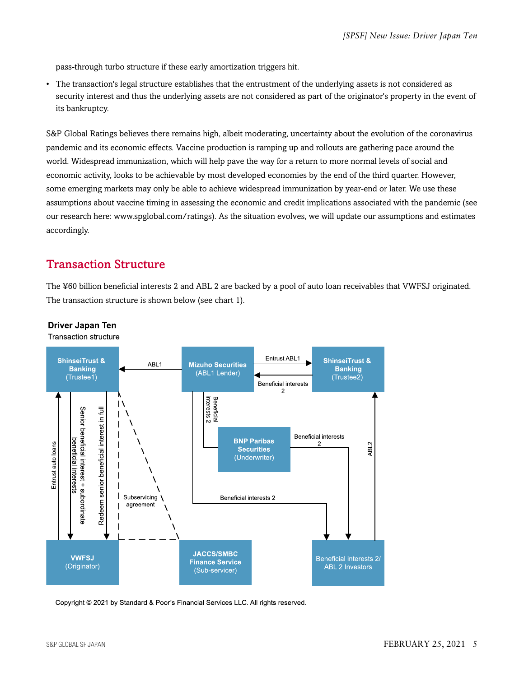pass-through turbo structure if these early amortization triggers hit.

• The transaction's legal structure establishes that the entrustment of the underlying assets is not considered as security interest and thus the underlying assets are not considered as part of the originator's property in the event of its bankruptcy.

S&P Global Ratings believes there remains high, albeit moderating, uncertainty about the evolution of the coronavirus pandemic and its economic effects. Vaccine production is ramping up and rollouts are gathering pace around the world. Widespread immunization, which will help pave the way for a return to more normal levels of social and economic activity, looks to be achievable by most developed economies by the end of the third quarter. However, some emerging markets may only be able to achieve widespread immunization by year-end or later. We use these assumptions about vaccine timing in assessing the economic and credit implications associated with the pandemic (see our research here: www.spglobal.com/ratings). As the situation evolves, we will update our assumptions and estimates accordingly.

# <span id="page-4-0"></span>Transaction Structure

The ¥60 billion beneficial interests 2 and ABL 2 are backed by a pool of auto loan receivables that VWFSJ originated. The transaction structure is shown below (see chart 1).



#### **Driver Japan Ten**

**Transaction structure** 

Copyright © 2021 by Standard & Poor's Financial Services LLC. All rights reserved.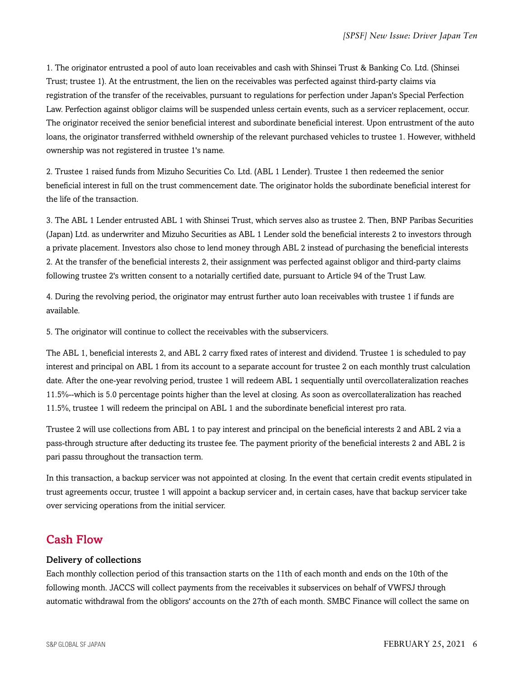1. The originator entrusted a pool of auto loan receivables and cash with Shinsei Trust & Banking Co. Ltd. (Shinsei Trust; trustee 1). At the entrustment, the lien on the receivables was perfected against third-party claims via registration of the transfer of the receivables, pursuant to regulations for perfection under Japan's Special Perfection Law. Perfection against obligor claims will be suspended unless certain events, such as a servicer replacement, occur. The originator received the senior beneficial interest and subordinate beneficial interest. Upon entrustment of the auto loans, the originator transferred withheld ownership of the relevant purchased vehicles to trustee 1. However, withheld ownership was not registered in trustee 1's name.

2. Trustee 1 raised funds from Mizuho Securities Co. Ltd. (ABL 1 Lender). Trustee 1 then redeemed the senior beneficial interest in full on the trust commencement date. The originator holds the subordinate beneficial interest for the life of the transaction.

3. The ABL 1 Lender entrusted ABL 1 with Shinsei Trust, which serves also as trustee 2. Then, BNP Paribas Securities (Japan) Ltd. as underwriter and Mizuho Securities as ABL 1 Lender sold the beneficial interests 2 to investors through a private placement. Investors also chose to lend money through ABL 2 instead of purchasing the beneficial interests 2. At the transfer of the beneficial interests 2, their assignment was perfected against obligor and third-party claims following trustee 2's written consent to a notarially certified date, pursuant to Article 94 of the Trust Law.

4. During the revolving period, the originator may entrust further auto loan receivables with trustee 1 if funds are available.

5. The originator will continue to collect the receivables with the subservicers.

The ABL 1, beneficial interests 2, and ABL 2 carry fixed rates of interest and dividend. Trustee 1 is scheduled to pay interest and principal on ABL 1 from its account to a separate account for trustee 2 on each monthly trust calculation date. After the one-year revolving period, trustee 1 will redeem ABL 1 sequentially until overcollateralization reaches 11.5%--which is 5.0 percentage points higher than the level at closing. As soon as overcollateralization has reached 11.5%, trustee 1 will redeem the principal on ABL 1 and the subordinate beneficial interest pro rata.

Trustee 2 will use collections from ABL 1 to pay interest and principal on the beneficial interests 2 and ABL 2 via a pass-through structure after deducting its trustee fee. The payment priority of the beneficial interests 2 and ABL 2 is pari passu throughout the transaction term.

In this transaction, a backup servicer was not appointed at closing. In the event that certain credit events stipulated in trust agreements occur, trustee 1 will appoint a backup servicer and, in certain cases, have that backup servicer take over servicing operations from the initial servicer.

# <span id="page-5-0"></span>Cash Flow

#### Delivery of collections

Each monthly collection period of this transaction starts on the 11th of each month and ends on the 10th of the following month. JACCS will collect payments from the receivables it subservices on behalf of VWFSJ through automatic withdrawal from the obligors' accounts on the 27th of each month. SMBC Finance will collect the same on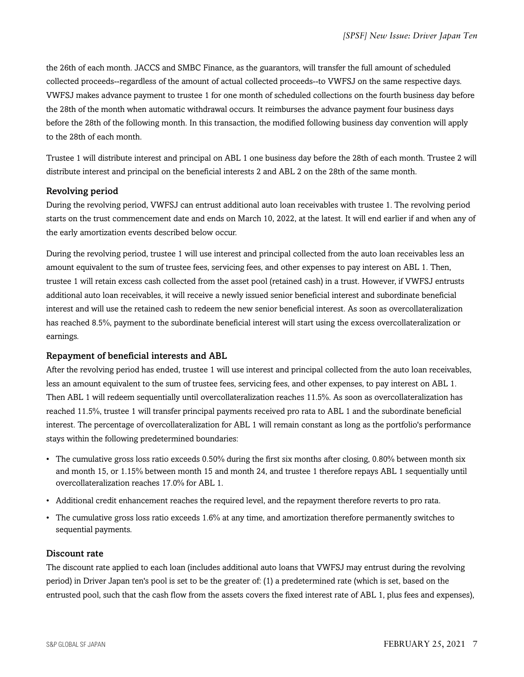the 26th of each month. JACCS and SMBC Finance, as the guarantors, will transfer the full amount of scheduled collected proceeds--regardless of the amount of actual collected proceeds--to VWFSJ on the same respective days. VWFSJ makes advance payment to trustee 1 for one month of scheduled collections on the fourth business day before the 28th of the month when automatic withdrawal occurs. It reimburses the advance payment four business days before the 28th of the following month. In this transaction, the modified following business day convention will apply to the 28th of each month.

Trustee 1 will distribute interest and principal on ABL 1 one business day before the 28th of each month. Trustee 2 will distribute interest and principal on the beneficial interests 2 and ABL 2 on the 28th of the same month.

#### Revolving period

During the revolving period, VWFSJ can entrust additional auto loan receivables with trustee 1. The revolving period starts on the trust commencement date and ends on March 10, 2022, at the latest. It will end earlier if and when any of the early amortization events described below occur.

During the revolving period, trustee 1 will use interest and principal collected from the auto loan receivables less an amount equivalent to the sum of trustee fees, servicing fees, and other expenses to pay interest on ABL 1. Then, trustee 1 will retain excess cash collected from the asset pool (retained cash) in a trust. However, if VWFSJ entrusts additional auto loan receivables, it will receive a newly issued senior beneficial interest and subordinate beneficial interest and will use the retained cash to redeem the new senior beneficial interest. As soon as overcollateralization has reached 8.5%, payment to the subordinate beneficial interest will start using the excess overcollateralization or earnings.

#### Repayment of beneficial interests and ABL

After the revolving period has ended, trustee 1 will use interest and principal collected from the auto loan receivables, less an amount equivalent to the sum of trustee fees, servicing fees, and other expenses, to pay interest on ABL 1. Then ABL 1 will redeem sequentially until overcollateralization reaches 11.5%. As soon as overcollateralization has reached 11.5%, trustee 1 will transfer principal payments received pro rata to ABL 1 and the subordinate beneficial interest. The percentage of overcollateralization for ABL 1 will remain constant as long as the portfolio's performance stays within the following predetermined boundaries:

- The cumulative gross loss ratio exceeds 0.50% during the first six months after closing, 0.80% between month six and month 15, or 1.15% between month 15 and month 24, and trustee 1 therefore repays ABL 1 sequentially until overcollateralization reaches 17.0% for ABL 1.
- Additional credit enhancement reaches the required level, and the repayment therefore reverts to pro rata.
- The cumulative gross loss ratio exceeds 1.6% at any time, and amortization therefore permanently switches to sequential payments.

#### Discount rate

The discount rate applied to each loan (includes additional auto loans that VWFSJ may entrust during the revolving period) in Driver Japan ten's pool is set to be the greater of: (1) a predetermined rate (which is set, based on the entrusted pool, such that the cash flow from the assets covers the fixed interest rate of ABL 1, plus fees and expenses),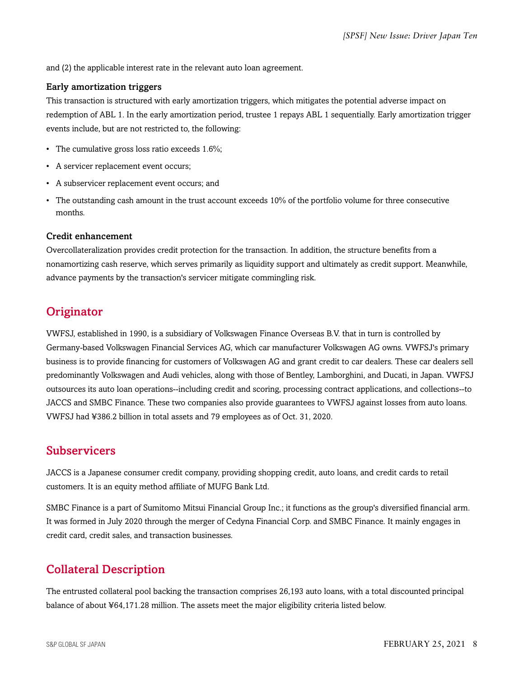and (2) the applicable interest rate in the relevant auto loan agreement.

#### Early amortization triggers

This transaction is structured with early amortization triggers, which mitigates the potential adverse impact on redemption of ABL 1. In the early amortization period, trustee 1 repays ABL 1 sequentially. Early amortization trigger events include, but are not restricted to, the following:

- The cumulative gross loss ratio exceeds 1.6%;
- A servicer replacement event occurs;
- A subservicer replacement event occurs; and
- The outstanding cash amount in the trust account exceeds 10% of the portfolio volume for three consecutive months.

#### Credit enhancement

Overcollateralization provides credit protection for the transaction. In addition, the structure benefits from a nonamortizing cash reserve, which serves primarily as liquidity support and ultimately as credit support. Meanwhile, advance payments by the transaction's servicer mitigate commingling risk.

# <span id="page-7-0"></span>**Originator**

VWFSJ, established in 1990, is a subsidiary of Volkswagen Finance Overseas B.V. that in turn is controlled by Germany-based Volkswagen Financial Services AG, which car manufacturer Volkswagen AG owns. VWFSJ's primary business is to provide financing for customers of Volkswagen AG and grant credit to car dealers. These car dealers sell predominantly Volkswagen and Audi vehicles, along with those of Bentley, Lamborghini, and Ducati, in Japan. VWFSJ outsources its auto loan operations--including credit and scoring, processing contract applications, and collections--to JACCS and SMBC Finance. These two companies also provide guarantees to VWFSJ against losses from auto loans. VWFSJ had ¥386.2 billion in total assets and 79 employees as of Oct. 31, 2020.

#### <span id="page-7-1"></span>**Subservicers**

JACCS is a Japanese consumer credit company, providing shopping credit, auto loans, and credit cards to retail customers. It is an equity method affiliate of MUFG Bank Ltd.

SMBC Finance is a part of Sumitomo Mitsui Financial Group Inc.; it functions as the group's diversified financial arm. It was formed in July 2020 through the merger of Cedyna Financial Corp. and SMBC Finance. It mainly engages in credit card, credit sales, and transaction businesses.

# <span id="page-7-2"></span>Collateral Description

The entrusted collateral pool backing the transaction comprises 26,193 auto loans, with a total discounted principal balance of about ¥64,171.28 million. The assets meet the major eligibility criteria listed below.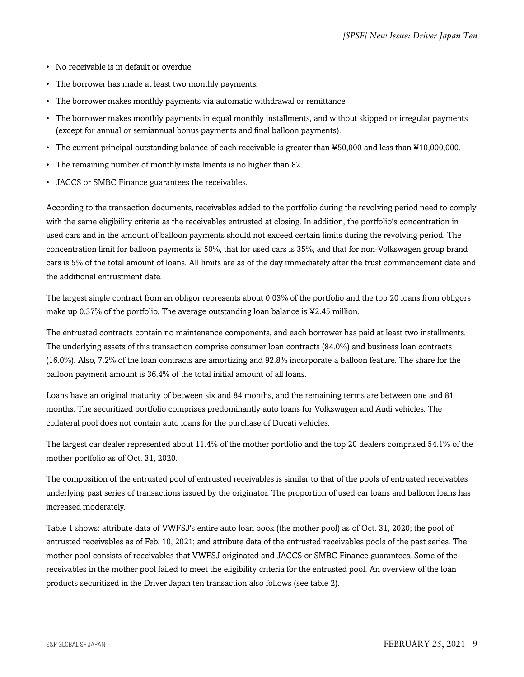- No receivable is in default or overdue.
- The borrower has made at least two monthly payments.
- The borrower makes monthly payments via automatic withdrawal or remittance.
- The borrower makes monthly payments in equal monthly installments, and without skipped or irregular payments (except for annual or semiannual bonus payments and final balloon payments).
- The current principal outstanding balance of each receivable is greater than ¥50,000 and less than ¥10,000,000.
- The remaining number of monthly installments is no higher than 82.
- JACCS or SMBC Finance guarantees the receivables.

According to the transaction documents, receivables added to the portfolio during the revolving period need to comply with the same eligibility criteria as the receivables entrusted at closing. In addition, the portfolio's concentration in used cars and in the amount of balloon payments should not exceed certain limits during the revolving period. The concentration limit for balloon payments is 50%, that for used cars is 35%, and that for non-Volkswagen group brand cars is 5% of the total amount of loans. All limits are as of the day immediately after the trust commencement date and the additional entrustment date.

The largest single contract from an obligor represents about 0.03% of the portfolio and the top 20 loans from obligors make up 0.37% of the portfolio. The average outstanding loan balance is ¥2.45 million.

The entrusted contracts contain no maintenance components, and each borrower has paid at least two installments. The underlying assets of this transaction comprise consumer loan contracts (84.0%) and business loan contracts (16.0%). Also, 7.2% of the loan contracts are amortizing and 92.8% incorporate a balloon feature. The share for the balloon payment amount is 36.4% of the total initial amount of all loans.

Loans have an original maturity of between six and 84 months, and the remaining terms are between one and 81 months. The securitized portfolio comprises predominantly auto loans for Volkswagen and Audi vehicles. The collateral pool does not contain auto loans for the purchase of Ducati vehicles.

The largest car dealer represented about 11.4% of the mother portfolio and the top 20 dealers comprised 54.1% of the mother portfolio as of Oct. 31, 2020.

The composition of the entrusted pool of entrusted receivables is similar to that of the pools of entrusted receivables underlying past series of transactions issued by the originator. The proportion of used car loans and balloon loans has increased moderately.

Table 1 shows: attribute data of VWFSJ's entire auto loan book (the mother pool) as of Oct. 31, 2020; the pool of entrusted receivables as of Feb. 10, 2021; and attribute data of the entrusted receivables pools of the past series. The mother pool consists of receivables that VWFSJ originated and JACCS or SMBC Finance guarantees. Some of the receivables in the mother pool failed to meet the eligibility criteria for the entrusted pool. An overview of the loan products securitized in the Driver Japan ten transaction also follows (see table 2).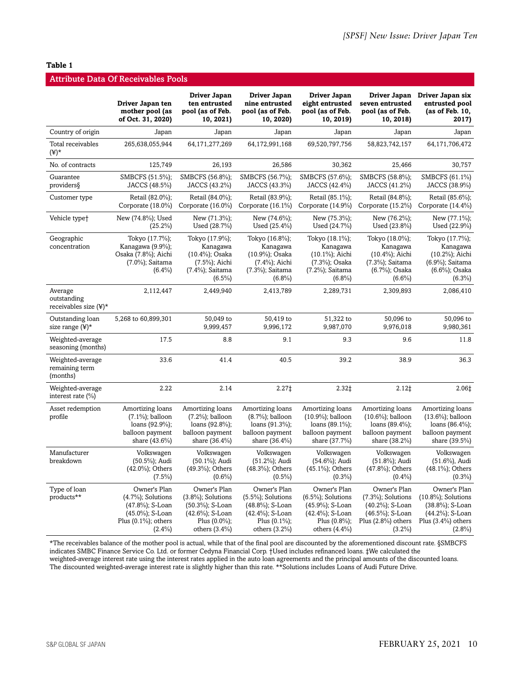#### **Table 1**

| <b>Attribute Data Of Receivables Pools</b>       |                                                                                                                     |                                                                                                                     |                                                                                                                         |                                                                                                                     |                                                                                                                |                                                                                                                    |
|--------------------------------------------------|---------------------------------------------------------------------------------------------------------------------|---------------------------------------------------------------------------------------------------------------------|-------------------------------------------------------------------------------------------------------------------------|---------------------------------------------------------------------------------------------------------------------|----------------------------------------------------------------------------------------------------------------|--------------------------------------------------------------------------------------------------------------------|
|                                                  | Driver Japan ten<br>mother pool (as<br>of Oct. 31, 2020)                                                            | Driver Japan<br>ten entrusted<br>pool (as of Feb.<br>10, 2021)                                                      | Driver Japan<br>nine entrusted<br>pool (as of Feb.<br>10, 2020)                                                         | Driver Japan<br>eight entrusted<br>pool (as of Feb.<br>10, 2019)                                                    | Driver Japan<br>seven entrusted<br>pool (as of Feb.<br>10, 2018)                                               | Driver Japan six<br>entrusted pool<br>(as of Feb. 10,<br>2017)                                                     |
| Country of origin                                | Japan                                                                                                               | Japan                                                                                                               | Japan                                                                                                                   | Japan                                                                                                               | Japan                                                                                                          | Japan                                                                                                              |
| Total receivables<br>$(\yen)^*$                  | 265,638,055,944                                                                                                     | 64,171,277,269                                                                                                      | 64,172,991,168                                                                                                          | 69,520,797,756                                                                                                      | 58,823,742,157                                                                                                 | 64,171,706,472                                                                                                     |
| No. of contracts                                 | 125,749                                                                                                             | 26,193                                                                                                              | 26,586                                                                                                                  | 30,362                                                                                                              | 25,466                                                                                                         | 30,757                                                                                                             |
| Guarantee<br>providers                           | SMBCFS (51.5%);<br>JACCS (48.5%)                                                                                    | SMBCFS (56.8%);<br>JACCS (43.2%)                                                                                    | SMBCFS (56.7%);<br>JACCS (43.3%)                                                                                        | SMBCFS (57.6%);<br>JACCS (42.4%)                                                                                    | SMBCFS (58.8%);<br>JACCS (41.2%)                                                                               | SMBCFS (61.1%)<br>JACCS (38.9%)                                                                                    |
| Customer type                                    | Retail (82.0%);<br>Corporate $(18.0\%)$                                                                             | Retail (84.0%);<br>Corporate $(16.0\%)$                                                                             | Retail (83.9%);<br>Corporate $(16.1\%)$                                                                                 | Retail (85.1%);<br>Corporate (14.9%)                                                                                | Retail (84.8%);<br>Corporate (15.2%)                                                                           | Retail (85.6%);<br>Corporate $(14.4\%)$                                                                            |
| Vehicle type <sup>+</sup>                        | New (74.8%); Used<br>$(25.2\%)$                                                                                     | New (71.3%);<br>Used (28.7%)                                                                                        | New (74.6%);<br>Used (25.4%)                                                                                            | New (75.3%);<br>Used (24.7%)                                                                                        | New (76.2%);<br>Used (23.8%)                                                                                   | New (77.1%);<br>Used (22.9%)                                                                                       |
| Geographic<br>concentration                      | Tokyo (17.7%);<br>Kanagawa $(9.9\%)$ ;<br>Osaka (7.8%); Aichi<br>(7.0%); Saitama<br>$(6.4\%)$                       | Tokyo (17.9%);<br>Kanagawa<br>(10.4%); Osaka<br>$(7.5\%)$ ; Aichi<br>(7.4%); Saitama<br>$(6.5\%)$                   | Tokyo (16.8%);<br>Kanagawa<br>(10.9%); Osaka<br>(7.4%); Aichi<br>(7.3%); Saitama<br>$(6.8\%)$                           | Tokyo (18.1%);<br>Kanagawa<br>(10.1%); Aichi<br>(7.3%); Osaka<br>(7.2%); Saitama<br>$(6.8\%)$                       | Tokyo (18.0%);<br>Kanagawa<br>(10.4%); Aichi<br>(7.3%); Saitama<br>(6.7%); Osaka<br>$(6.6\%)$                  | Tokyo (17.7%);<br>Kanagawa<br>(10.2%); Aichi<br>(6.9%); Saitama<br>(6.6%); Osaka<br>$(6.3\%)$                      |
| Average<br>outstanding<br>receivables size (¥)*  | 2,112,447                                                                                                           | 2,449,940                                                                                                           | 2,413,789                                                                                                               | 2,289,731                                                                                                           | 2,309,893                                                                                                      | 2,086,410                                                                                                          |
| Outstanding loan<br>size range $(\frac{1}{2})^*$ | 5,268 to 60,899,301                                                                                                 | 50,049 to<br>9,999,457                                                                                              | 50,419 to<br>9,996,172                                                                                                  | 51,322 to<br>9,987,070                                                                                              | 50,096 to<br>9,976,018                                                                                         | 50,096 to<br>9,980,361                                                                                             |
| Weighted-average<br>seasoning (months)           | 17.5                                                                                                                | 8.8                                                                                                                 | 9.1                                                                                                                     | 9.3                                                                                                                 | 9.6                                                                                                            | 11.8                                                                                                               |
| Weighted-average<br>remaining term<br>(months)   | 33.6                                                                                                                | 41.4                                                                                                                | 40.5                                                                                                                    | 39.2                                                                                                                | 38.9                                                                                                           | 36.3                                                                                                               |
| Weighted-average<br>interest rate (%)            | 2.22                                                                                                                | 2.14                                                                                                                | 2.27‡                                                                                                                   | 2.32‡                                                                                                               | $2.12+$                                                                                                        | 2.06‡                                                                                                              |
| Asset redemption<br>profile                      | Amortizing loans<br>$(7.1\%)$ ; balloon<br>loans (92.9%);<br>balloon payment<br>share (43.6%)                       | Amortizing loans<br>$(7.2\%)$ ; balloon<br>loans (92.8%);<br>balloon payment<br>share (36.4%)                       | Amortizing loans<br>(8.7%); balloon<br>loans (91.3%);<br>balloon payment<br>share (36.4%)                               | Amortizing loans<br>$(10.9\%)$ ; balloon<br>loans (89.1%);<br>balloon payment<br>share (37.7%)                      | Amortizing loans<br>$(10.6\%)$ ; balloon<br>loans (89.4%);<br>balloon payment<br>share (38.2%)                 | Amortizing loans<br>$(13.6\%)$ ; balloon<br>loans (86.4%);<br>balloon payment<br>share (39.5%)                     |
| Manufacturer<br>breakdown                        | Volkswagen<br>(50.5%); Audi<br>$(42.0\%)$ ; Others<br>$(7.5\%)$                                                     | Volkswagen<br>(50.1%); Audi<br>(49.3%); Others<br>$(0.6\%)$                                                         | Volkswagen<br>(51.2%); Audi<br>(48.3%); Others<br>$(0.5\%)$                                                             | Volkswagen<br>(54.6%); Audi<br>$(45.1\%)$ ; Others<br>$(0.3\%)$                                                     | Volkswagen<br>(51.8%); Audi<br>(47.8%); Others<br>$(0.4\%)$                                                    | Volkswagen<br>(51.6%), Audi<br>$(48.1\%)$ ; Others<br>$(0.3\%)$                                                    |
| Type of loan<br>products**                       | Owner's Plan<br>$(4.7\%)$ ; Solutions<br>(47.8%); S-Loan<br>(45.0%); S-Loan<br>Plus $(0.1\%)$ ; others<br>$(2.4\%)$ | Owner's Plan<br>$(3.8\%)$ ; Solutions<br>(50.3%); S-Loan<br>(42.6%); S-Loan<br>Plus $(0.0\%)$ ;<br>others $(3.4\%)$ | Owner's Plan<br>$(5.5\%)$ ; Solutions<br>$(48.8\%)$ ; S-Loan<br>(42.4%); S-Loan<br>Plus $(0.1\%)$ ;<br>others $(3.2\%)$ | Owner's Plan<br>$(6.5\%)$ ; Solutions<br>(45.9%); S-Loan<br>(42.4%); S-Loan<br>Plus $(0.8\%)$ ;<br>others $(4.4\%)$ | Owner's Plan<br>$(7.3\%)$ ; Solutions<br>(40.2%); S-Loan<br>(46.5%); S-Loan<br>Plus (2.8%) others<br>$(3.2\%)$ | Owner's Plan<br>$(10.8\%)$ ; Solutions<br>(38.8%); S-Loan<br>(44.2%); S-Loan<br>Plus $(3.4\%)$ others<br>$(2.8\%)$ |

\*The receivables balance of the mother pool is actual, while that of the final pool are discounted by the aforementioned discount rate. §SMBCFS indicates SMBC Finance Service Co. Ltd. or former Cedyna Financial Corp. †Used includes refinanced loans. ‡We calculated the weighted-average interest rate using the interest rates applied in the auto loan agreements and the principal amounts of the discounted loans. The discounted weighted-average interest rate is slightly higher than this rate. \*\*Solutions includes Loans of Audi Future Drive.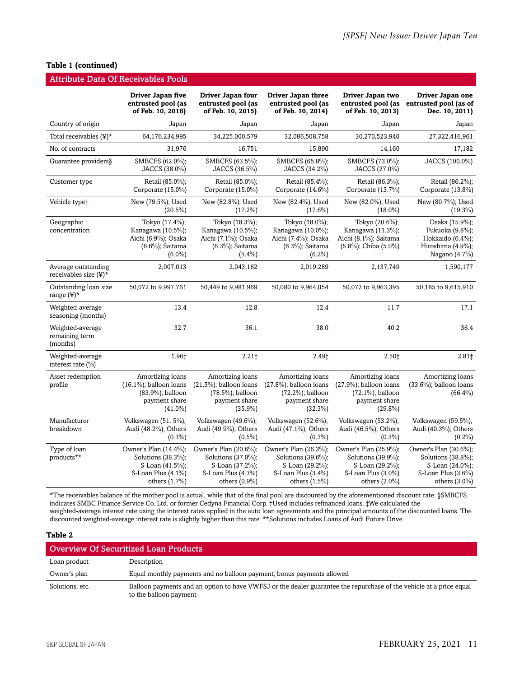#### **Table 1 (continued)**

|                                                    | <b>Attribute Data Of Receivables Pools</b>                                                            |                                                                                                          |                                                                                                          |                                                                                                       |                                                                                                          |
|----------------------------------------------------|-------------------------------------------------------------------------------------------------------|----------------------------------------------------------------------------------------------------------|----------------------------------------------------------------------------------------------------------|-------------------------------------------------------------------------------------------------------|----------------------------------------------------------------------------------------------------------|
|                                                    | Driver Japan five<br>entrusted pool (as<br>of Feb. 10, 2016)                                          | Driver Japan four<br>entrusted pool (as<br>of Feb. 10, 2015)                                             | Driver Japan three<br>entrusted pool (as<br>of Feb. 10, 2014)                                            | Driver Japan two<br>entrusted pool (as<br>of Feb. 10, 2013)                                           | Driver Japan one<br>entrusted pool (as of<br>Dec. 10, 2011)                                              |
| Country of origin                                  | Japan                                                                                                 | Japan                                                                                                    | Japan                                                                                                    | Japan                                                                                                 | Japan                                                                                                    |
| Total receivables $(\frac{1}{2})^*$                | 64,176,234,995                                                                                        | 34,225,000,579                                                                                           | 32,086,508,758                                                                                           | 30,270,523,940                                                                                        | 27,322,416,961                                                                                           |
| No. of contracts                                   | 31,976                                                                                                | 16,751                                                                                                   | 15,890                                                                                                   | 14,160                                                                                                | 17,182                                                                                                   |
| Guarantee providers§                               | SMBCFS (62.0%);<br>JACCS (38.0%)                                                                      | SMBCFS (63.5%);<br>JACCS (36.5%)                                                                         | SMBCFS (65.8%);<br>JACCS (34.2%)                                                                         | SMBCFS (73.0%);<br>JACCS (27.0%)                                                                      | JACCS (100.0%)                                                                                           |
| Customer type                                      | Retail (85.0%);<br>Corporate (15.0%)                                                                  | Retail (85.0%);<br>Corporate (15.0%)                                                                     | Retail (85.4%);<br>Corporate (14.6%)                                                                     | Retail (86.3%);<br>Corporate (13.7%)                                                                  | Retail (86.2%);<br>Corporate (13.8%)                                                                     |
| Vehicle type <sup>+</sup>                          | New (79.5%); Used<br>$(20.5\%)$                                                                       | New (82.8%); Used<br>$(17.2\%)$                                                                          | New (82.4%); Used<br>$(17.6\%)$                                                                          | New (82.0%); Used<br>$(18.0\%)$                                                                       | New (80.7%); Used<br>$(19.3\%)$                                                                          |
| Geographic<br>concentration                        | Tokyo (17.4%);<br>Kanagawa (10.5%);<br>Aichi (6.9%); Osaka<br>(6.6%); Saitama<br>$(6.0\%)$            | Tokyo (18.3%);<br>Kanagawa (10.5%);<br>Aichi (7.1%); Osaka<br>(6.3%); Saitama<br>$(5.4\%)$               | Tokyo (18.0%);<br>Kanagawa (10.0%);<br>Aichi (7.4%); Osaka<br>(6.3%); Saitama<br>$(6.2\%)$               | Tokyo (20.6%);<br>Kanagawa (11.3%);<br>Aichi (8.1%); Saitama<br>(5.8%); Chiba (5.0%)                  | Osaka (15.9%);<br>Fukuoka (9.8%);<br>Hokkaido (6.4%);<br>Hiroshima (4.9%);<br>Nagano (4.7%)              |
| Average outstanding<br>receivables size $(\yen)^*$ | 2,007,013                                                                                             | 2,043,162                                                                                                | 2,019,289                                                                                                | 2,137,749                                                                                             | 1,590,177                                                                                                |
| Outstanding loan size<br>range $(\yen)^*$          | 50,072 to 9,997,761                                                                                   | 50,449 to 9,981,969                                                                                      | 50,080 to 9,964,054                                                                                      | 50,072 to 9,963,395                                                                                   | 50,185 to 9,615,910                                                                                      |
| Weighted-average<br>seasoning (months)             | 13.4                                                                                                  | 12.8                                                                                                     | 12.4                                                                                                     | 11.7                                                                                                  | 17.1                                                                                                     |
| Weighted-average<br>remaining term<br>(months)     | 32.7                                                                                                  | 36.1                                                                                                     | 38.0                                                                                                     | 40.2                                                                                                  | 36.4                                                                                                     |
| Weighted-average<br>interest rate (%)              | 1.96‡                                                                                                 | 2.21                                                                                                     | 2.49‡                                                                                                    | 2.50‡                                                                                                 | 2.81‡                                                                                                    |
| Asset redemption<br>profile                        | Amortizing loans<br>$(16.1\%)$ ; balloon loans<br>(83.9%); balloon<br>payment share<br>$(41.0\%)$     | Amortizing loans<br>$(21.5\%)$ ; balloon loans<br>(78.5%); balloon<br>payment share<br>$(35.9\%)$        | Amortizing loans<br>$(27.8\%)$ ; balloon loans<br>(72.2%); balloon<br>payment share<br>$(32.3\%)$        | Amortizing loans<br>$(27.9\%)$ ; balloon loans<br>$(72.1\%)$ ; balloon<br>payment share<br>$(29.8\%)$ | Amortizing loans<br>(33.6%); balloon loans<br>$(66.4\%)$                                                 |
| Manufacturer<br>breakdown                          | Volkswagen (51. 5%);<br>Audi (48.2%); Others<br>$(0.3\%)$                                             | Volkswagen (49.6%);<br>Audi (49.9%); Others<br>$(0.5\%)$                                                 | Volkswagen $(52.6\%)$ ;<br>Audi (47.1%); Others<br>$(0.3\%)$                                             | Volkswagen (53.2%);<br>Audi (46.5%); Others<br>$(0.3\%)$                                              | Volkswagen (59.5%),<br>Audi (40.3%); Others<br>$(0.2\%)$                                                 |
| Type of loan<br>products**                         | Owner's Plan (14.4%);<br>Solutions (38.3%);<br>S-Loan (41.5%);<br>S-Loan Plus (4.1%)<br>others (1.7%) | Owner's Plan (20.6%);<br>Solutions (37.0%);<br>S-Loan (37.2%);<br>S-Loan Plus (4.3%)<br>others $(0.9\%)$ | Owner's Plan (26.3%);<br>Solutions (39.6%);<br>S-Loan (29.2%);<br>S-Loan Plus (3.4%)<br>others $(1.5\%)$ | Owner's Plan (25.9%);<br>Solutions (39.9%);<br>S-Loan (29.2%);<br>S-Loan Plus (3.0%)<br>others (2.0%) | Owner's Plan (30.6%);<br>Solutions (38.8%);<br>S-Loan (24.0%);<br>S-Loan Plus $(3.6\%)$<br>others (3.0%) |

\*The receivables balance of the mother pool is actual, while that of the final pool are discounted by the aforementioned discount rate. §SMBCFS indicates SMBC Finance Service Co. Ltd. or former Cedyna Financial Corp. †Used includes refinanced loans. ‡We calculated the weighted-average interest rate using the interest rates applied in the auto loan agreements and the principal amounts of the discounted loans. The discounted weighted-average interest rate is slightly higher than this rate. \*\*Solutions includes Loans of Audi Future Drive.

#### **Table 2**

| <b>Overview Of Securitized Loan Products</b> |                                                                                                                                               |  |  |
|----------------------------------------------|-----------------------------------------------------------------------------------------------------------------------------------------------|--|--|
| Loan product                                 | Description                                                                                                                                   |  |  |
| Owner's plan                                 | Equal monthly payments and no balloon payment; bonus payments allowed                                                                         |  |  |
| Solutions, etc.                              | Balloon payments and an option to have VWFSJ or the dealer guarantee the repurchase of the vehicle at a price equal<br>to the balloon payment |  |  |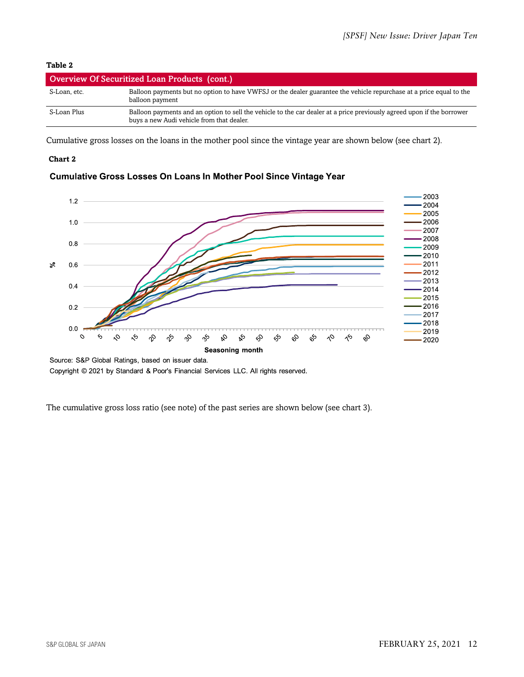#### **Table 2**

| Overview Of Securitized Loan Products (cont.) |                                                                                                                                                                     |  |  |
|-----------------------------------------------|---------------------------------------------------------------------------------------------------------------------------------------------------------------------|--|--|
| S-Loan. etc.                                  | Balloon payments but no option to have VWFSJ or the dealer guarantee the vehicle repurchase at a price equal to the<br>balloon payment                              |  |  |
| S-Loan Plus                                   | Balloon payments and an option to sell the vehicle to the car dealer at a price previously agreed upon if the borrower<br>buys a new Audi vehicle from that dealer. |  |  |

Cumulative gross losses on the loans in the mother pool since the vintage year are shown below (see chart 2).

#### **Chart 2**



#### Cumulative Gross Losses On Loans In Mother Pool Since Vintage Year

Source: S&P Global Ratings, based on issuer data.

Copyright @ 2021 by Standard & Poor's Financial Services LLC. All rights reserved.

The cumulative gross loss ratio (see note) of the past series are shown below (see chart 3).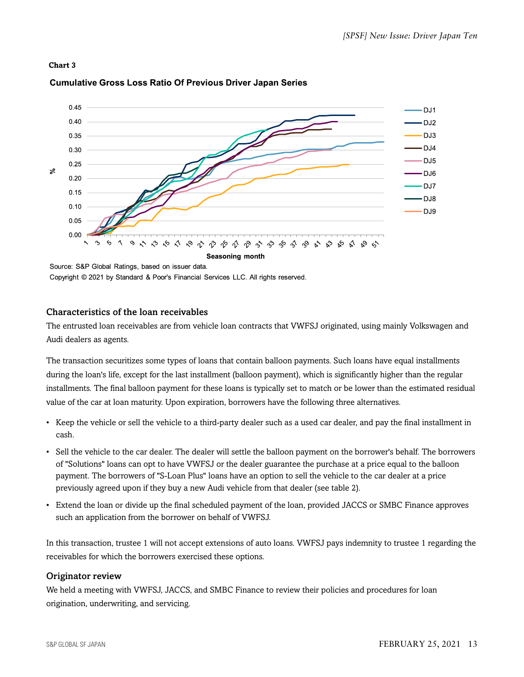#### **Chart 3**



#### **Cumulative Gross Loss Ratio Of Previous Driver Japan Series**

Source: S&P Global Ratings, based on issuer data. Copyright © 2021 by Standard & Poor's Financial Services LLC. All rights reserved.

#### Characteristics of the loan receivables

The entrusted loan receivables are from vehicle loan contracts that VWFSJ originated, using mainly Volkswagen and Audi dealers as agents.

The transaction securitizes some types of loans that contain balloon payments. Such loans have equal installments during the loan's life, except for the last installment (balloon payment), which is significantly higher than the regular installments. The final balloon payment for these loans is typically set to match or be lower than the estimated residual value of the car at loan maturity. Upon expiration, borrowers have the following three alternatives.

- Keep the vehicle or sell the vehicle to a third-party dealer such as a used car dealer, and pay the final installment in cash.
- Sell the vehicle to the car dealer. The dealer will settle the balloon payment on the borrower's behalf. The borrowers of "Solutions" loans can opt to have VWFSJ or the dealer guarantee the purchase at a price equal to the balloon payment. The borrowers of "S-Loan Plus" loans have an option to sell the vehicle to the car dealer at a price previously agreed upon if they buy a new Audi vehicle from that dealer (see table 2).
- Extend the loan or divide up the final scheduled payment of the loan, provided JACCS or SMBC Finance approves such an application from the borrower on behalf of VWFSJ.

In this transaction, trustee 1 will not accept extensions of auto loans. VWFSJ pays indemnity to trustee 1 regarding the receivables for which the borrowers exercised these options.

#### Originator review

We held a meeting with VWFSJ, JACCS, and SMBC Finance to review their policies and procedures for loan origination, underwriting, and servicing.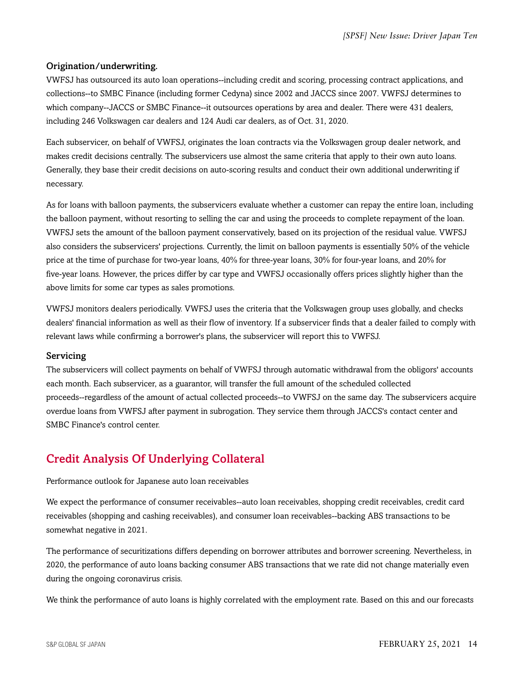#### Origination/underwriting.

VWFSJ has outsourced its auto loan operations--including credit and scoring, processing contract applications, and collections--to SMBC Finance (including former Cedyna) since 2002 and JACCS since 2007. VWFSJ determines to which company--JACCS or SMBC Finance--it outsources operations by area and dealer. There were 431 dealers, including 246 Volkswagen car dealers and 124 Audi car dealers, as of Oct. 31, 2020.

Each subservicer, on behalf of VWFSJ, originates the loan contracts via the Volkswagen group dealer network, and makes credit decisions centrally. The subservicers use almost the same criteria that apply to their own auto loans. Generally, they base their credit decisions on auto-scoring results and conduct their own additional underwriting if necessary.

As for loans with balloon payments, the subservicers evaluate whether a customer can repay the entire loan, including the balloon payment, without resorting to selling the car and using the proceeds to complete repayment of the loan. VWFSJ sets the amount of the balloon payment conservatively, based on its projection of the residual value. VWFSJ also considers the subservicers' projections. Currently, the limit on balloon payments is essentially 50% of the vehicle price at the time of purchase for two-year loans, 40% for three-year loans, 30% for four-year loans, and 20% for five-year loans. However, the prices differ by car type and VWFSJ occasionally offers prices slightly higher than the above limits for some car types as sales promotions.

VWFSJ monitors dealers periodically. VWFSJ uses the criteria that the Volkswagen group uses globally, and checks dealers' financial information as well as their flow of inventory. If a subservicer finds that a dealer failed to comply with relevant laws while confirming a borrower's plans, the subservicer will report this to VWFSJ.

#### Servicing

The subservicers will collect payments on behalf of VWFSJ through automatic withdrawal from the obligors' accounts each month. Each subservicer, as a guarantor, will transfer the full amount of the scheduled collected proceeds--regardless of the amount of actual collected proceeds--to VWFSJ on the same day. The subservicers acquire overdue loans from VWFSJ after payment in subrogation. They service them through JACCS's contact center and SMBC Finance's control center.

# <span id="page-13-0"></span>Credit Analysis Of Underlying Collateral

#### Performance outlook for Japanese auto loan receivables

We expect the performance of consumer receivables--auto loan receivables, shopping credit receivables, credit card receivables (shopping and cashing receivables), and consumer loan receivables--backing ABS transactions to be somewhat negative in 2021.

The performance of securitizations differs depending on borrower attributes and borrower screening. Nevertheless, in 2020, the performance of auto loans backing consumer ABS transactions that we rate did not change materially even during the ongoing coronavirus crisis.

We think the performance of auto loans is highly correlated with the employment rate. Based on this and our forecasts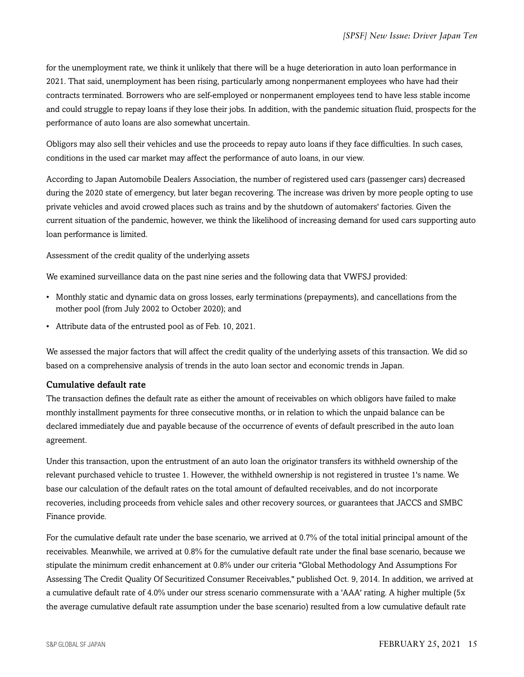for the unemployment rate, we think it unlikely that there will be a huge deterioration in auto loan performance in 2021. That said, unemployment has been rising, particularly among nonpermanent employees who have had their contracts terminated. Borrowers who are self-employed or nonpermanent employees tend to have less stable income and could struggle to repay loans if they lose their jobs. In addition, with the pandemic situation fluid, prospects for the performance of auto loans are also somewhat uncertain.

Obligors may also sell their vehicles and use the proceeds to repay auto loans if they face difficulties. In such cases, conditions in the used car market may affect the performance of auto loans, in our view.

According to Japan Automobile Dealers Association, the number of registered used cars (passenger cars) decreased during the 2020 state of emergency, but later began recovering. The increase was driven by more people opting to use private vehicles and avoid crowed places such as trains and by the shutdown of automakers' factories. Given the current situation of the pandemic, however, we think the likelihood of increasing demand for used cars supporting auto loan performance is limited.

Assessment of the credit quality of the underlying assets

We examined surveillance data on the past nine series and the following data that VWFSJ provided:

- Monthly static and dynamic data on gross losses, early terminations (prepayments), and cancellations from the mother pool (from July 2002 to October 2020); and
- Attribute data of the entrusted pool as of Feb. 10, 2021.

We assessed the major factors that will affect the credit quality of the underlying assets of this transaction. We did so based on a comprehensive analysis of trends in the auto loan sector and economic trends in Japan.

#### Cumulative default rate

The transaction defines the default rate as either the amount of receivables on which obligors have failed to make monthly installment payments for three consecutive months, or in relation to which the unpaid balance can be declared immediately due and payable because of the occurrence of events of default prescribed in the auto loan agreement.

Under this transaction, upon the entrustment of an auto loan the originator transfers its withheld ownership of the relevant purchased vehicle to trustee 1. However, the withheld ownership is not registered in trustee 1's name. We base our calculation of the default rates on the total amount of defaulted receivables, and do not incorporate recoveries, including proceeds from vehicle sales and other recovery sources, or guarantees that JACCS and SMBC Finance provide.

For the cumulative default rate under the base scenario, we arrived at 0.7% of the total initial principal amount of the receivables. Meanwhile, we arrived at 0.8% for the cumulative default rate under the final base scenario, because we stipulate the minimum credit enhancement at 0.8% under our criteria "Global Methodology And Assumptions For Assessing The Credit Quality Of Securitized Consumer Receivables," published Oct. 9, 2014. In addition, we arrived at a cumulative default rate of 4.0% under our stress scenario commensurate with a 'AAA' rating. A higher multiple (5x the average cumulative default rate assumption under the base scenario) resulted from a low cumulative default rate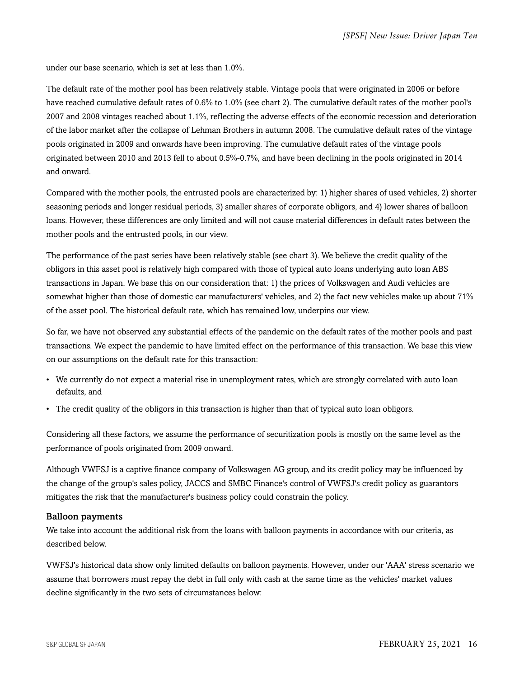under our base scenario, which is set at less than 1.0%.

The default rate of the mother pool has been relatively stable. Vintage pools that were originated in 2006 or before have reached cumulative default rates of 0.6% to 1.0% (see chart 2). The cumulative default rates of the mother pool's 2007 and 2008 vintages reached about 1.1%, reflecting the adverse effects of the economic recession and deterioration of the labor market after the collapse of Lehman Brothers in autumn 2008. The cumulative default rates of the vintage pools originated in 2009 and onwards have been improving. The cumulative default rates of the vintage pools originated between 2010 and 2013 fell to about 0.5%-0.7%, and have been declining in the pools originated in 2014 and onward.

Compared with the mother pools, the entrusted pools are characterized by: 1) higher shares of used vehicles, 2) shorter seasoning periods and longer residual periods, 3) smaller shares of corporate obligors, and 4) lower shares of balloon loans. However, these differences are only limited and will not cause material differences in default rates between the mother pools and the entrusted pools, in our view.

The performance of the past series have been relatively stable (see chart 3). We believe the credit quality of the obligors in this asset pool is relatively high compared with those of typical auto loans underlying auto loan ABS transactions in Japan. We base this on our consideration that: 1) the prices of Volkswagen and Audi vehicles are somewhat higher than those of domestic car manufacturers' vehicles, and 2) the fact new vehicles make up about 71% of the asset pool. The historical default rate, which has remained low, underpins our view.

So far, we have not observed any substantial effects of the pandemic on the default rates of the mother pools and past transactions. We expect the pandemic to have limited effect on the performance of this transaction. We base this view on our assumptions on the default rate for this transaction:

- We currently do not expect a material rise in unemployment rates, which are strongly correlated with auto loan defaults, and
- The credit quality of the obligors in this transaction is higher than that of typical auto loan obligors.

Considering all these factors, we assume the performance of securitization pools is mostly on the same level as the performance of pools originated from 2009 onward.

Although VWFSJ is a captive finance company of Volkswagen AG group, and its credit policy may be influenced by the change of the group's sales policy, JACCS and SMBC Finance's control of VWFSJ's credit policy as guarantors mitigates the risk that the manufacturer's business policy could constrain the policy.

#### Balloon payments

We take into account the additional risk from the loans with balloon payments in accordance with our criteria, as described below.

VWFSJ's historical data show only limited defaults on balloon payments. However, under our 'AAA' stress scenario we assume that borrowers must repay the debt in full only with cash at the same time as the vehicles' market values decline significantly in the two sets of circumstances below: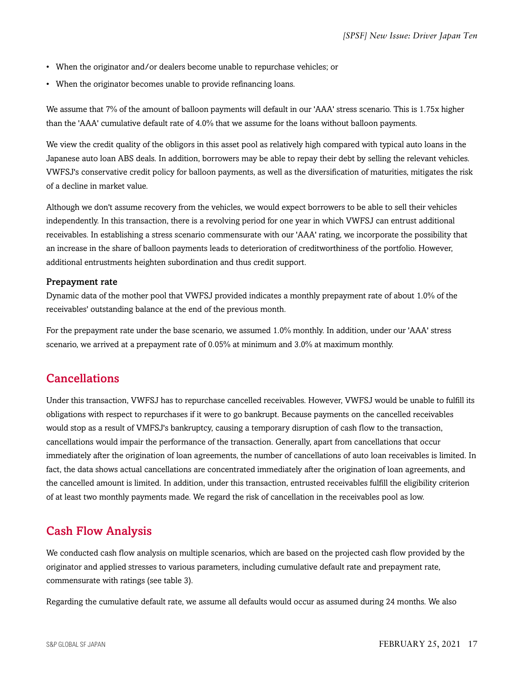- When the originator and/or dealers become unable to repurchase vehicles; or
- When the originator becomes unable to provide refinancing loans.

We assume that 7% of the amount of balloon payments will default in our 'AAA' stress scenario. This is 1.75x higher than the 'AAA' cumulative default rate of 4.0% that we assume for the loans without balloon payments.

We view the credit quality of the obligors in this asset pool as relatively high compared with typical auto loans in the Japanese auto loan ABS deals. In addition, borrowers may be able to repay their debt by selling the relevant vehicles. VWFSJ's conservative credit policy for balloon payments, as well as the diversification of maturities, mitigates the risk of a decline in market value.

Although we don't assume recovery from the vehicles, we would expect borrowers to be able to sell their vehicles independently. In this transaction, there is a revolving period for one year in which VWFSJ can entrust additional receivables. In establishing a stress scenario commensurate with our 'AAA' rating, we incorporate the possibility that an increase in the share of balloon payments leads to deterioration of creditworthiness of the portfolio. However, additional entrustments heighten subordination and thus credit support.

#### Prepayment rate

Dynamic data of the mother pool that VWFSJ provided indicates a monthly prepayment rate of about 1.0% of the receivables' outstanding balance at the end of the previous month.

For the prepayment rate under the base scenario, we assumed 1.0% monthly. In addition, under our 'AAA' stress scenario, we arrived at a prepayment rate of 0.05% at minimum and 3.0% at maximum monthly.

#### <span id="page-16-0"></span>Cancellations

Under this transaction, VWFSJ has to repurchase cancelled receivables. However, VWFSJ would be unable to fulfill its obligations with respect to repurchases if it were to go bankrupt. Because payments on the cancelled receivables would stop as a result of VMFSJ's bankruptcy, causing a temporary disruption of cash flow to the transaction, cancellations would impair the performance of the transaction. Generally, apart from cancellations that occur immediately after the origination of loan agreements, the number of cancellations of auto loan receivables is limited. In fact, the data shows actual cancellations are concentrated immediately after the origination of loan agreements, and the cancelled amount is limited. In addition, under this transaction, entrusted receivables fulfill the eligibility criterion of at least two monthly payments made. We regard the risk of cancellation in the receivables pool as low.

### <span id="page-16-1"></span>Cash Flow Analysis

We conducted cash flow analysis on multiple scenarios, which are based on the projected cash flow provided by the originator and applied stresses to various parameters, including cumulative default rate and prepayment rate, commensurate with ratings (see table 3).

Regarding the cumulative default rate, we assume all defaults would occur as assumed during 24 months. We also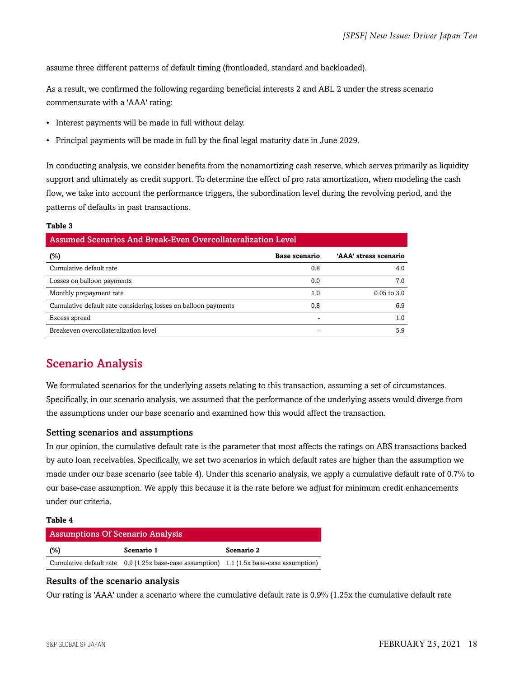assume three different patterns of default timing (frontloaded, standard and backloaded).

As a result, we confirmed the following regarding beneficial interests 2 and ABL 2 under the stress scenario commensurate with a 'AAA' rating:

- Interest payments will be made in full without delay.
- Principal payments will be made in full by the final legal maturity date in June 2029.

In conducting analysis, we consider benefits from the nonamortizing cash reserve, which serves primarily as liquidity support and ultimately as credit support. To determine the effect of pro rata amortization, when modeling the cash flow, we take into account the performance triggers, the subordination level during the revolving period, and the patterns of defaults in past transactions.

#### **Table 3**

| Assumed Scenarios And Break-Even Overcollateralization Level   |               |                       |  |  |  |
|----------------------------------------------------------------|---------------|-----------------------|--|--|--|
| $(\%)$                                                         | Base scenario | 'AAA' stress scenario |  |  |  |
| Cumulative default rate                                        | 0.8           | 4.0                   |  |  |  |
| Losses on balloon payments                                     | 0.0           | 7.0                   |  |  |  |
| Monthly prepayment rate                                        | 1.0           | $0.05$ to $3.0$       |  |  |  |
| Cumulative default rate considering losses on balloon payments | 0.8           | 6.9                   |  |  |  |
| Excess spread                                                  |               | 1.0                   |  |  |  |
| Breakeven overcollateralization level                          |               | 5.9                   |  |  |  |

# <span id="page-17-0"></span>Scenario Analysis

We formulated scenarios for the underlying assets relating to this transaction, assuming a set of circumstances. Specifically, in our scenario analysis, we assumed that the performance of the underlying assets would diverge from the assumptions under our base scenario and examined how this would affect the transaction.

#### Setting scenarios and assumptions

In our opinion, the cumulative default rate is the parameter that most affects the ratings on ABS transactions backed by auto loan receivables. Specifically, we set two scenarios in which default rates are higher than the assumption we made under our base scenario (see table 4). Under this scenario analysis, we apply a cumulative default rate of 0.7% to our base-case assumption. We apply this because it is the rate before we adjust for minimum credit enhancements under our criteria.

#### **Table 4**

| <b>Assumptions Of Scenario Analysis</b> |                                                                                          |            |  |  |  |
|-----------------------------------------|------------------------------------------------------------------------------------------|------------|--|--|--|
| (%)                                     | Scenario 1                                                                               | Scenario 2 |  |  |  |
|                                         | Cumulative default rate 0.9 (1.25x base-case assumption) 1.1 (1.5x base-case assumption) |            |  |  |  |

#### Results of the scenario analysis

Our rating is 'AAA' under a scenario where the cumulative default rate is 0.9% (1.25x the cumulative default rate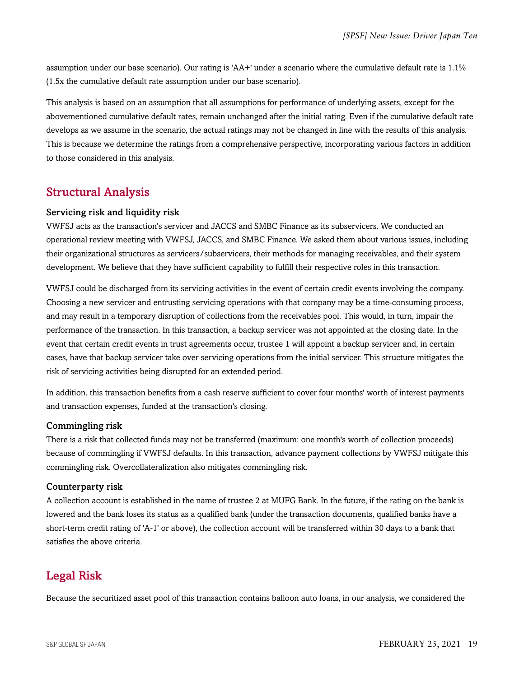assumption under our base scenario). Our rating is 'AA+' under a scenario where the cumulative default rate is 1.1% (1.5x the cumulative default rate assumption under our base scenario).

This analysis is based on an assumption that all assumptions for performance of underlying assets, except for the abovementioned cumulative default rates, remain unchanged after the initial rating. Even if the cumulative default rate develops as we assume in the scenario, the actual ratings may not be changed in line with the results of this analysis. This is because we determine the ratings from a comprehensive perspective, incorporating various factors in addition to those considered in this analysis.

# <span id="page-18-0"></span>Structural Analysis

#### Servicing risk and liquidity risk

VWFSJ acts as the transaction's servicer and JACCS and SMBC Finance as its subservicers. We conducted an operational review meeting with VWFSJ, JACCS, and SMBC Finance. We asked them about various issues, including their organizational structures as servicers/subservicers, their methods for managing receivables, and their system development. We believe that they have sufficient capability to fulfill their respective roles in this transaction.

VWFSJ could be discharged from its servicing activities in the event of certain credit events involving the company. Choosing a new servicer and entrusting servicing operations with that company may be a time-consuming process, and may result in a temporary disruption of collections from the receivables pool. This would, in turn, impair the performance of the transaction. In this transaction, a backup servicer was not appointed at the closing date. In the event that certain credit events in trust agreements occur, trustee 1 will appoint a backup servicer and, in certain cases, have that backup servicer take over servicing operations from the initial servicer. This structure mitigates the risk of servicing activities being disrupted for an extended period.

In addition, this transaction benefits from a cash reserve sufficient to cover four months' worth of interest payments and transaction expenses, funded at the transaction's closing.

#### Commingling risk

There is a risk that collected funds may not be transferred (maximum: one month's worth of collection proceeds) because of commingling if VWFSJ defaults. In this transaction, advance payment collections by VWFSJ mitigate this commingling risk. Overcollateralization also mitigates commingling risk.

#### Counterparty risk

A collection account is established in the name of trustee 2 at MUFG Bank. In the future, if the rating on the bank is lowered and the bank loses its status as a qualified bank (under the transaction documents, qualified banks have a short-term credit rating of 'A-1' or above), the collection account will be transferred within 30 days to a bank that satisfies the above criteria.

# <span id="page-18-1"></span>Legal Risk

Because the securitized asset pool of this transaction contains balloon auto loans, in our analysis, we considered the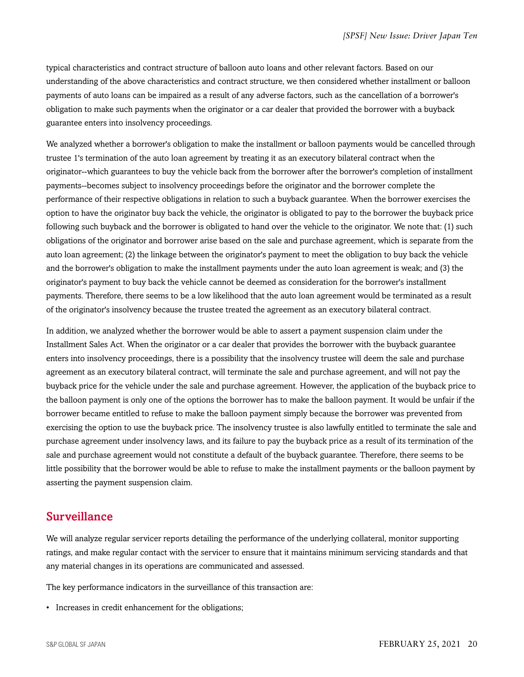typical characteristics and contract structure of balloon auto loans and other relevant factors. Based on our understanding of the above characteristics and contract structure, we then considered whether installment or balloon payments of auto loans can be impaired as a result of any adverse factors, such as the cancellation of a borrower's obligation to make such payments when the originator or a car dealer that provided the borrower with a buyback guarantee enters into insolvency proceedings.

We analyzed whether a borrower's obligation to make the installment or balloon payments would be cancelled through trustee 1's termination of the auto loan agreement by treating it as an executory bilateral contract when the originator--which guarantees to buy the vehicle back from the borrower after the borrower's completion of installment payments--becomes subject to insolvency proceedings before the originator and the borrower complete the performance of their respective obligations in relation to such a buyback guarantee. When the borrower exercises the option to have the originator buy back the vehicle, the originator is obligated to pay to the borrower the buyback price following such buyback and the borrower is obligated to hand over the vehicle to the originator. We note that: (1) such obligations of the originator and borrower arise based on the sale and purchase agreement, which is separate from the auto loan agreement; (2) the linkage between the originator's payment to meet the obligation to buy back the vehicle and the borrower's obligation to make the installment payments under the auto loan agreement is weak; and (3) the originator's payment to buy back the vehicle cannot be deemed as consideration for the borrower's installment payments. Therefore, there seems to be a low likelihood that the auto loan agreement would be terminated as a result of the originator's insolvency because the trustee treated the agreement as an executory bilateral contract.

In addition, we analyzed whether the borrower would be able to assert a payment suspension claim under the Installment Sales Act. When the originator or a car dealer that provides the borrower with the buyback guarantee enters into insolvency proceedings, there is a possibility that the insolvency trustee will deem the sale and purchase agreement as an executory bilateral contract, will terminate the sale and purchase agreement, and will not pay the buyback price for the vehicle under the sale and purchase agreement. However, the application of the buyback price to the balloon payment is only one of the options the borrower has to make the balloon payment. It would be unfair if the borrower became entitled to refuse to make the balloon payment simply because the borrower was prevented from exercising the option to use the buyback price. The insolvency trustee is also lawfully entitled to terminate the sale and purchase agreement under insolvency laws, and its failure to pay the buyback price as a result of its termination of the sale and purchase agreement would not constitute a default of the buyback guarantee. Therefore, there seems to be little possibility that the borrower would be able to refuse to make the installment payments or the balloon payment by asserting the payment suspension claim.

#### <span id="page-19-0"></span>Surveillance

We will analyze regular servicer reports detailing the performance of the underlying collateral, monitor supporting ratings, and make regular contact with the servicer to ensure that it maintains minimum servicing standards and that any material changes in its operations are communicated and assessed.

The key performance indicators in the surveillance of this transaction are:

• Increases in credit enhancement for the obligations;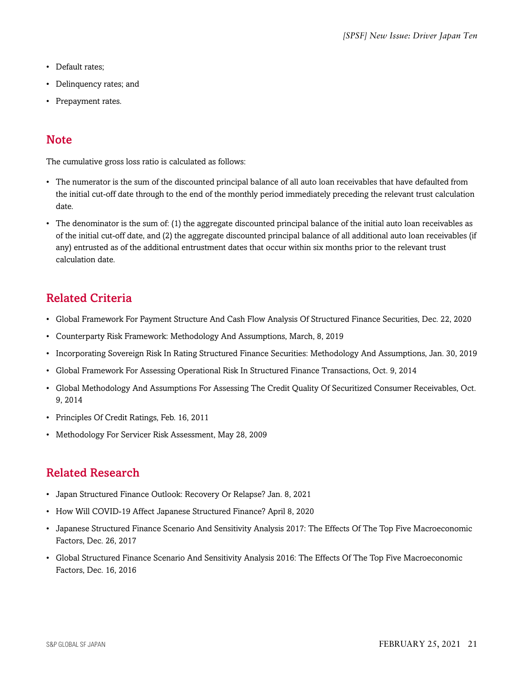- Default rates;
- Delinquency rates; and
- Prepayment rates.

# <span id="page-20-0"></span>**Note**

The cumulative gross loss ratio is calculated as follows:

- The numerator is the sum of the discounted principal balance of all auto loan receivables that have defaulted from the initial cut-off date through to the end of the monthly period immediately preceding the relevant trust calculation date.
- The denominator is the sum of: (1) the aggregate discounted principal balance of the initial auto loan receivables as of the initial cut-off date, and (2) the aggregate discounted principal balance of all additional auto loan receivables (if any) entrusted as of the additional entrustment dates that occur within six months prior to the relevant trust calculation date.

# <span id="page-20-1"></span>Related Criteria

- Global Framework For Payment Structure And Cash Flow Analysis Of Structured Finance Securities, Dec. 22, 2020
- Counterparty Risk Framework: Methodology And Assumptions, March, 8, 2019
- Incorporating Sovereign Risk In Rating Structured Finance Securities: Methodology And Assumptions, Jan. 30, 2019
- Global Framework For Assessing Operational Risk In Structured Finance Transactions, Oct. 9, 2014
- Global Methodology And Assumptions For Assessing The Credit Quality Of Securitized Consumer Receivables, Oct. 9, 2014
- Principles Of Credit Ratings, Feb. 16, 2011
- Methodology For Servicer Risk Assessment, May 28, 2009

# <span id="page-20-2"></span>Related Research

- Japan Structured Finance Outlook: Recovery Or Relapse? Jan. 8, 2021
- How Will COVID-19 Affect Japanese Structured Finance? April 8, 2020
- Japanese Structured Finance Scenario And Sensitivity Analysis 2017: The Effects Of The Top Five Macroeconomic Factors, Dec. 26, 2017
- Global Structured Finance Scenario And Sensitivity Analysis 2016: The Effects Of The Top Five Macroeconomic Factors, Dec. 16, 2016